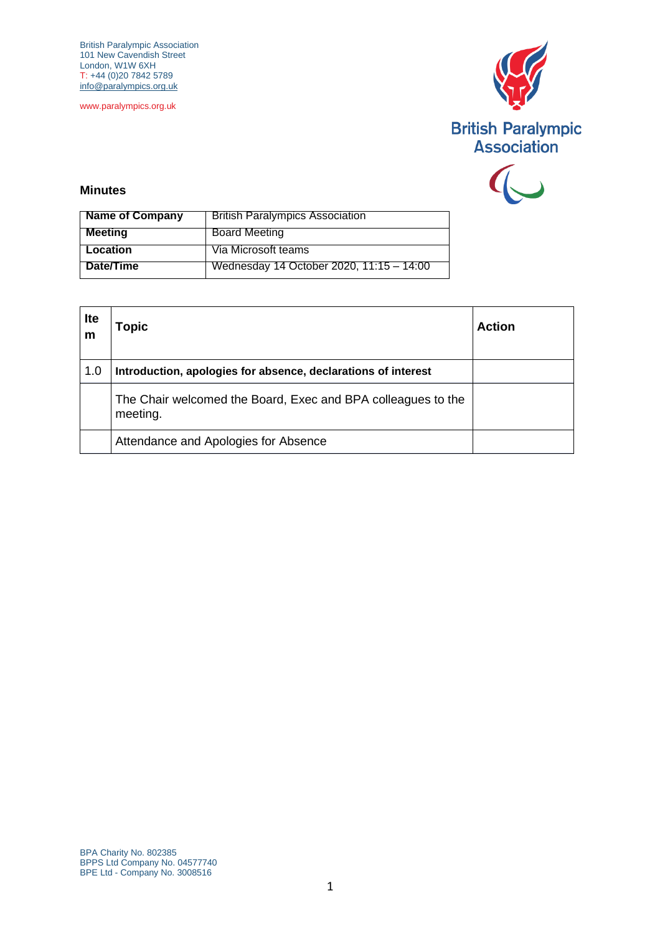British Paralympic Association 101 New Cavendish Street London, W1W 6XH T: +44 (0)20 7842 5789 [info@paralympics.org.uk](mailto:info@paralympics.org.uk)

www.paralympics.org.uk





## **Minutes**

| <b>Name of Company</b> | <b>British Paralympics Association</b>   |
|------------------------|------------------------------------------|
| <b>Meeting</b>         | <b>Board Meeting</b>                     |
| Location               | Via Microsoft teams                      |
| Date/Time              | Wednesday 14 October 2020, 11:15 - 14:00 |

| <b>Ite</b><br>m | Topic                                                                    | Action |
|-----------------|--------------------------------------------------------------------------|--------|
| 1.0             | Introduction, apologies for absence, declarations of interest            |        |
|                 | The Chair welcomed the Board, Exec and BPA colleagues to the<br>meeting. |        |
|                 | Attendance and Apologies for Absence                                     |        |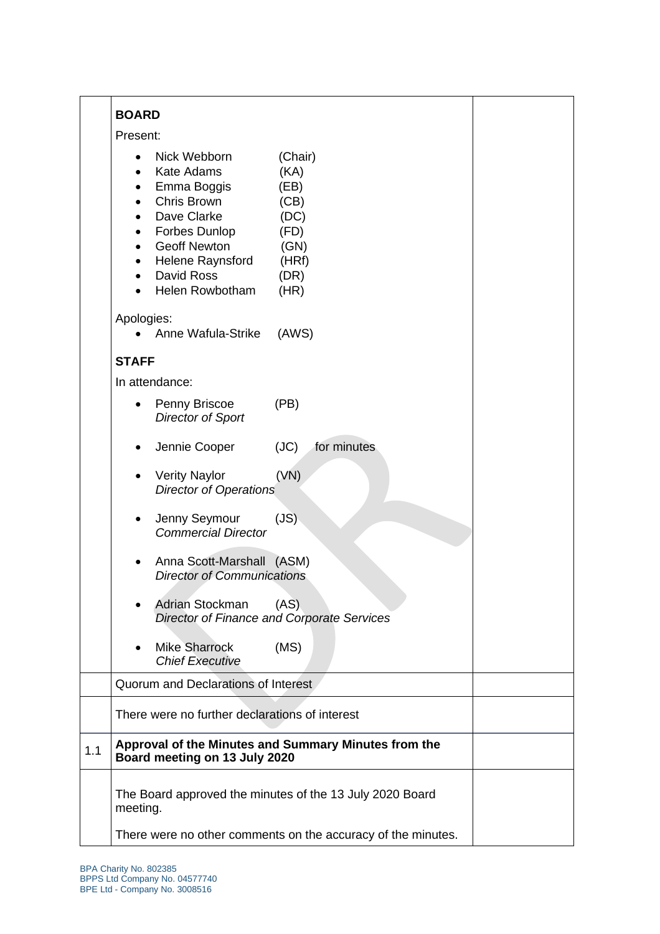|     | <b>BOARD</b>                                                                                                                                                                                                                                                                                          |
|-----|-------------------------------------------------------------------------------------------------------------------------------------------------------------------------------------------------------------------------------------------------------------------------------------------------------|
|     | Present:                                                                                                                                                                                                                                                                                              |
|     | Nick Webborn<br>(Chair)<br>$\bullet$<br><b>Kate Adams</b><br>(KA)<br>$\bullet$<br>Emma Boggis<br>(EB)<br>٠<br>Chris Brown<br>(CB)<br>Dave Clarke<br>(DC)<br><b>Forbes Dunlop</b><br>(FD)<br><b>Geoff Newton</b><br>(GN)<br>Helene Raynsford<br>(HRf)<br>David Ross<br>(DR)<br>Helen Rowbotham<br>(HR) |
|     | Apologies:<br>Anne Wafula-Strike<br>(AWS)                                                                                                                                                                                                                                                             |
|     | <b>STAFF</b>                                                                                                                                                                                                                                                                                          |
|     | In attendance:                                                                                                                                                                                                                                                                                        |
|     | Penny Briscoe<br>(PB)<br><b>Director of Sport</b>                                                                                                                                                                                                                                                     |
|     | for minutes<br>Jennie Cooper<br>(JC)                                                                                                                                                                                                                                                                  |
|     | (VN)<br><b>Verity Naylor</b><br><b>Director of Operations</b>                                                                                                                                                                                                                                         |
|     | Jenny Seymour<br>(JS)<br><b>Commercial Director</b>                                                                                                                                                                                                                                                   |
|     | Anna Scott-Marshall (ASM)<br><b>Director of Communications</b>                                                                                                                                                                                                                                        |
|     | Adrian Stockman<br>(AS)<br>$\bullet$<br>Director of Finance and Corporate Services                                                                                                                                                                                                                    |
|     | <b>Mike Sharrock</b><br>(MS)<br>٠<br><b>Chief Executive</b>                                                                                                                                                                                                                                           |
|     | Quorum and Declarations of Interest                                                                                                                                                                                                                                                                   |
|     | There were no further declarations of interest                                                                                                                                                                                                                                                        |
| 1.1 | Approval of the Minutes and Summary Minutes from the<br>Board meeting on 13 July 2020                                                                                                                                                                                                                 |
|     | The Board approved the minutes of the 13 July 2020 Board<br>meeting.                                                                                                                                                                                                                                  |
|     | There were no other comments on the accuracy of the minutes.                                                                                                                                                                                                                                          |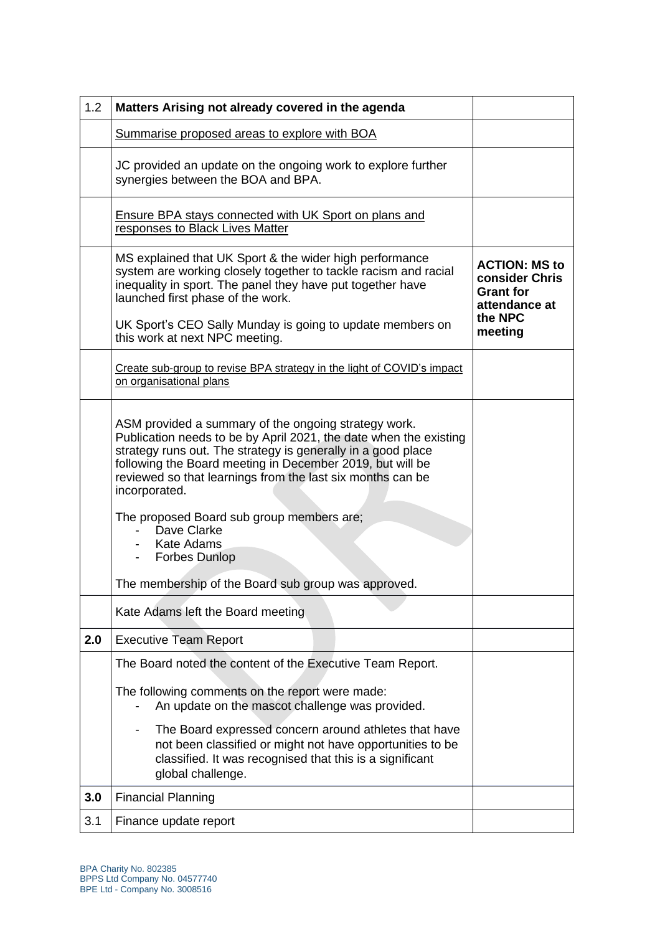| 1.2 | Matters Arising not already covered in the agenda                                                                                                                                                                                                                                                                                                                                                                                         |                                                                             |
|-----|-------------------------------------------------------------------------------------------------------------------------------------------------------------------------------------------------------------------------------------------------------------------------------------------------------------------------------------------------------------------------------------------------------------------------------------------|-----------------------------------------------------------------------------|
|     | Summarise proposed areas to explore with BOA                                                                                                                                                                                                                                                                                                                                                                                              |                                                                             |
|     | JC provided an update on the ongoing work to explore further<br>synergies between the BOA and BPA.                                                                                                                                                                                                                                                                                                                                        |                                                                             |
|     | <b>Ensure BPA stays connected with UK Sport on plans and</b><br>responses to Black Lives Matter                                                                                                                                                                                                                                                                                                                                           |                                                                             |
|     | MS explained that UK Sport & the wider high performance<br>system are working closely together to tackle racism and racial<br>inequality in sport. The panel they have put together have<br>launched first phase of the work.                                                                                                                                                                                                             | <b>ACTION: MS to</b><br>consider Chris<br><b>Grant for</b><br>attendance at |
|     | UK Sport's CEO Sally Munday is going to update members on<br>this work at next NPC meeting.                                                                                                                                                                                                                                                                                                                                               | the NPC<br>meeting                                                          |
|     | Create sub-group to revise BPA strategy in the light of COVID's impact<br>on organisational plans                                                                                                                                                                                                                                                                                                                                         |                                                                             |
|     | ASM provided a summary of the ongoing strategy work.<br>Publication needs to be by April 2021, the date when the existing<br>strategy runs out. The strategy is generally in a good place<br>following the Board meeting in December 2019, but will be<br>reviewed so that learnings from the last six months can be<br>incorporated.<br>The proposed Board sub group members are;<br>Dave Clarke<br>- Kate Adams<br><b>Forbes Dunlop</b> |                                                                             |
|     | The membership of the Board sub group was approved.                                                                                                                                                                                                                                                                                                                                                                                       |                                                                             |
|     | Kate Adams left the Board meeting                                                                                                                                                                                                                                                                                                                                                                                                         |                                                                             |
| 2.0 | <b>Executive Team Report</b>                                                                                                                                                                                                                                                                                                                                                                                                              |                                                                             |
|     | The Board noted the content of the Executive Team Report.<br>The following comments on the report were made:<br>An update on the mascot challenge was provided.<br>The Board expressed concern around athletes that have<br>not been classified or might not have opportunities to be<br>classified. It was recognised that this is a significant<br>global challenge.                                                                    |                                                                             |
| 3.0 | <b>Financial Planning</b>                                                                                                                                                                                                                                                                                                                                                                                                                 |                                                                             |
| 3.1 | Finance update report                                                                                                                                                                                                                                                                                                                                                                                                                     |                                                                             |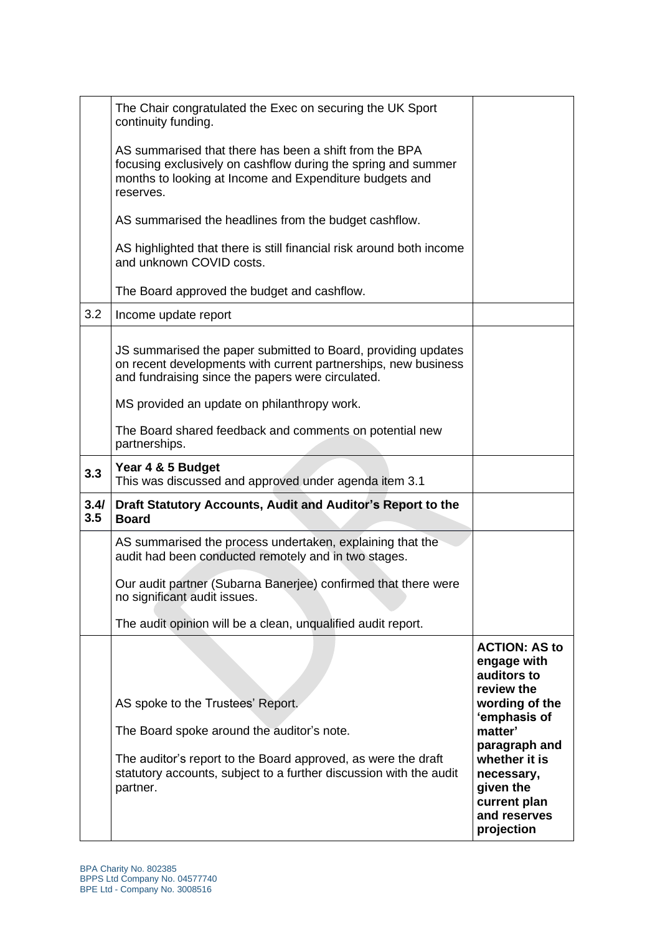|             | The Chair congratulated the Exec on securing the UK Sport<br>continuity funding.                                                                                                                |                                                                                                         |
|-------------|-------------------------------------------------------------------------------------------------------------------------------------------------------------------------------------------------|---------------------------------------------------------------------------------------------------------|
|             | AS summarised that there has been a shift from the BPA<br>focusing exclusively on cashflow during the spring and summer<br>months to looking at Income and Expenditure budgets and<br>reserves. |                                                                                                         |
|             | AS summarised the headlines from the budget cashflow.                                                                                                                                           |                                                                                                         |
|             | AS highlighted that there is still financial risk around both income<br>and unknown COVID costs.                                                                                                |                                                                                                         |
|             | The Board approved the budget and cashflow.                                                                                                                                                     |                                                                                                         |
| 3.2         | Income update report                                                                                                                                                                            |                                                                                                         |
|             | JS summarised the paper submitted to Board, providing updates<br>on recent developments with current partnerships, new business<br>and fundraising since the papers were circulated.            |                                                                                                         |
|             | MS provided an update on philanthropy work.                                                                                                                                                     |                                                                                                         |
|             | The Board shared feedback and comments on potential new<br>partnerships.                                                                                                                        |                                                                                                         |
| 3.3         | Year 4 & 5 Budget<br>This was discussed and approved under agenda item 3.1                                                                                                                      |                                                                                                         |
| 3.4/<br>3.5 | Draft Statutory Accounts, Audit and Auditor's Report to the<br><b>Board</b>                                                                                                                     |                                                                                                         |
|             | AS summarised the process undertaken, explaining that the<br>audit had been conducted remotely and in two stages.                                                                               |                                                                                                         |
|             | Our audit partner (Subarna Banerjee) confirmed that there were<br>no significant audit issues.                                                                                                  |                                                                                                         |
|             | The audit opinion will be a clean, unqualified audit report.                                                                                                                                    |                                                                                                         |
|             | AS spoke to the Trustees' Report.                                                                                                                                                               | <b>ACTION: AS to</b><br>engage with<br>auditors to<br>review the<br>wording of the                      |
|             | The Board spoke around the auditor's note.                                                                                                                                                      | 'emphasis of<br>matter'                                                                                 |
|             | The auditor's report to the Board approved, as were the draft<br>statutory accounts, subject to a further discussion with the audit<br>partner.                                                 | paragraph and<br>whether it is<br>necessary,<br>given the<br>current plan<br>and reserves<br>projection |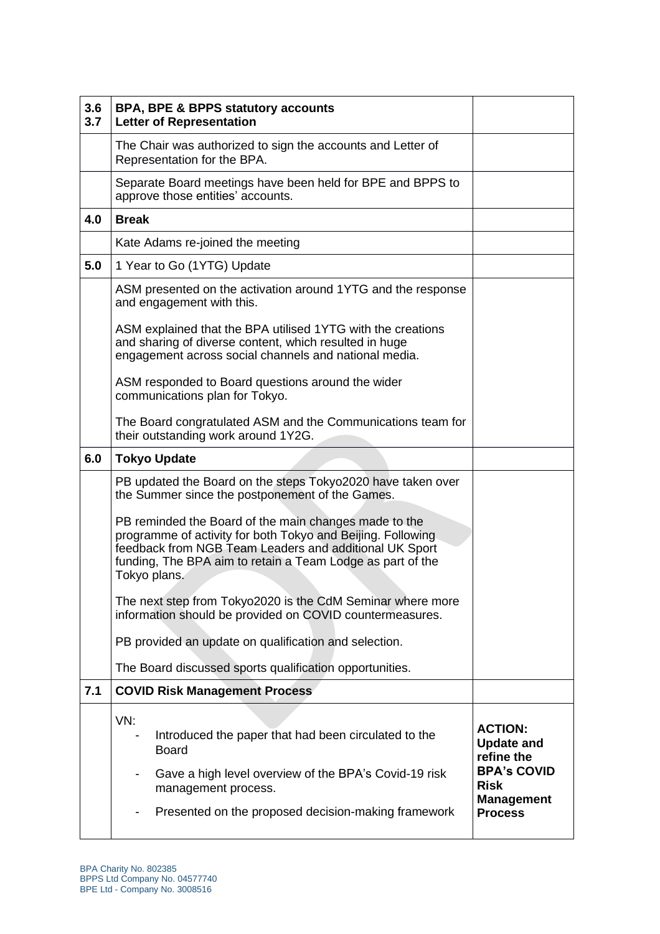| 3.6<br>3.7 | <b>BPA, BPE &amp; BPPS statutory accounts</b><br><b>Letter of Representation</b>                                                                                                                                                                             |                                                        |
|------------|--------------------------------------------------------------------------------------------------------------------------------------------------------------------------------------------------------------------------------------------------------------|--------------------------------------------------------|
|            | The Chair was authorized to sign the accounts and Letter of<br>Representation for the BPA.                                                                                                                                                                   |                                                        |
|            | Separate Board meetings have been held for BPE and BPPS to<br>approve those entities' accounts.                                                                                                                                                              |                                                        |
| 4.0        | <b>Break</b>                                                                                                                                                                                                                                                 |                                                        |
|            | Kate Adams re-joined the meeting                                                                                                                                                                                                                             |                                                        |
| 5.0        | 1 Year to Go (1YTG) Update                                                                                                                                                                                                                                   |                                                        |
|            | ASM presented on the activation around 1YTG and the response<br>and engagement with this.                                                                                                                                                                    |                                                        |
|            | ASM explained that the BPA utilised 1YTG with the creations<br>and sharing of diverse content, which resulted in huge<br>engagement across social channels and national media.                                                                               |                                                        |
|            | ASM responded to Board questions around the wider<br>communications plan for Tokyo.                                                                                                                                                                          |                                                        |
|            | The Board congratulated ASM and the Communications team for<br>their outstanding work around 1Y2G.                                                                                                                                                           |                                                        |
| 6.0        | <b>Tokyo Update</b>                                                                                                                                                                                                                                          |                                                        |
|            | PB updated the Board on the steps Tokyo2020 have taken over<br>the Summer since the postponement of the Games.                                                                                                                                               |                                                        |
|            | PB reminded the Board of the main changes made to the<br>programme of activity for both Tokyo and Beijing. Following<br>feedback from NGB Team Leaders and additional UK Sport<br>funding, The BPA aim to retain a Team Lodge as part of the<br>Tokyo plans. |                                                        |
|            | The next step from Tokyo2020 is the CdM Seminar where more<br>information should be provided on COVID countermeasures.                                                                                                                                       |                                                        |
|            | PB provided an update on qualification and selection.                                                                                                                                                                                                        |                                                        |
|            | The Board discussed sports qualification opportunities.                                                                                                                                                                                                      |                                                        |
| 7.1        | <b>COVID Risk Management Process</b>                                                                                                                                                                                                                         |                                                        |
|            | VN:<br>Introduced the paper that had been circulated to the<br><b>Board</b>                                                                                                                                                                                  | <b>ACTION:</b><br><b>Update and</b><br>refine the      |
|            | Gave a high level overview of the BPA's Covid-19 risk<br>management process.                                                                                                                                                                                 | <b>BPA's COVID</b><br><b>Risk</b><br><b>Management</b> |
|            | Presented on the proposed decision-making framework                                                                                                                                                                                                          | <b>Process</b>                                         |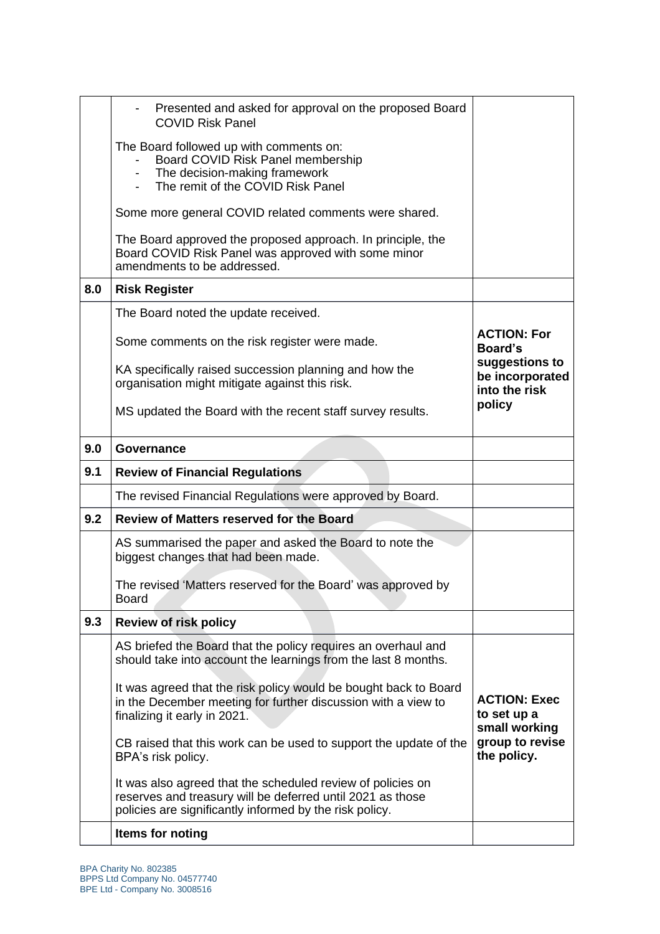|     | Presented and asked for approval on the proposed Board<br><b>COVID Risk Panel</b>                                                                                                    |                                                    |
|-----|--------------------------------------------------------------------------------------------------------------------------------------------------------------------------------------|----------------------------------------------------|
|     | The Board followed up with comments on:<br>Board COVID Risk Panel membership<br>The decision-making framework<br>The remit of the COVID Risk Panel                                   |                                                    |
|     | Some more general COVID related comments were shared.                                                                                                                                |                                                    |
|     | The Board approved the proposed approach. In principle, the<br>Board COVID Risk Panel was approved with some minor<br>amendments to be addressed.                                    |                                                    |
| 8.0 | <b>Risk Register</b>                                                                                                                                                                 |                                                    |
|     | The Board noted the update received.                                                                                                                                                 |                                                    |
|     | Some comments on the risk register were made.                                                                                                                                        | <b>ACTION: For</b><br>Board's                      |
|     | KA specifically raised succession planning and how the<br>organisation might mitigate against this risk.                                                                             | suggestions to<br>be incorporated<br>into the risk |
|     | MS updated the Board with the recent staff survey results.                                                                                                                           | policy                                             |
| 9.0 | Governance                                                                                                                                                                           |                                                    |
| 9.1 | <b>Review of Financial Regulations</b>                                                                                                                                               |                                                    |
|     | The revised Financial Regulations were approved by Board.                                                                                                                            |                                                    |
| 9.2 | <b>Review of Matters reserved for the Board</b>                                                                                                                                      |                                                    |
|     | AS summarised the paper and asked the Board to note the<br>biggest changes that had been made.                                                                                       |                                                    |
|     |                                                                                                                                                                                      |                                                    |
|     | The revised 'Matters reserved for the Board' was approved by<br><b>Board</b>                                                                                                         |                                                    |
| 9.3 | <b>Review of risk policy</b>                                                                                                                                                         |                                                    |
|     | AS briefed the Board that the policy requires an overhaul and<br>should take into account the learnings from the last 8 months.                                                      |                                                    |
|     | It was agreed that the risk policy would be bought back to Board<br>in the December meeting for further discussion with a view to<br>finalizing it early in 2021.                    | <b>ACTION: Exec</b><br>to set up a                 |
|     | CB raised that this work can be used to support the update of the<br>BPA's risk policy.                                                                                              | small working<br>group to revise<br>the policy.    |
|     | It was also agreed that the scheduled review of policies on<br>reserves and treasury will be deferred until 2021 as those<br>policies are significantly informed by the risk policy. |                                                    |